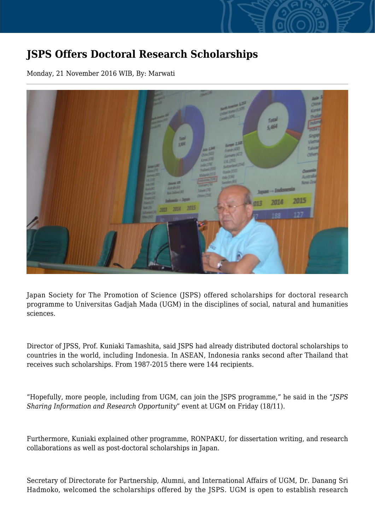## **JSPS Offers Doctoral Research Scholarships**

Monday, 21 November 2016 WIB, By: Marwati



Japan Society for The Promotion of Science (JSPS) offered scholarships for doctoral research programme to Universitas Gadjah Mada (UGM) in the disciplines of social, natural and humanities sciences.

Director of JPSS, Prof. Kuniaki Tamashita, said JSPS had already distributed doctoral scholarships to countries in the world, including Indonesia. In ASEAN, Indonesia ranks second after Thailand that receives such scholarships. From 1987-2015 there were 144 recipients.

"Hopefully, more people, including from UGM, can join the JSPS programme," he said in the "*JSPS Sharing Information and Research Opportunity*" event at UGM on Friday (18/11).

Furthermore, Kuniaki explained other programme, RONPAKU, for dissertation writing, and research collaborations as well as post-doctoral scholarships in Japan.

Secretary of Directorate for Partnership, Alumni, and International Affairs of UGM, Dr. Danang Sri Hadmoko, welcomed the scholarships offered by the JSPS. UGM is open to establish research